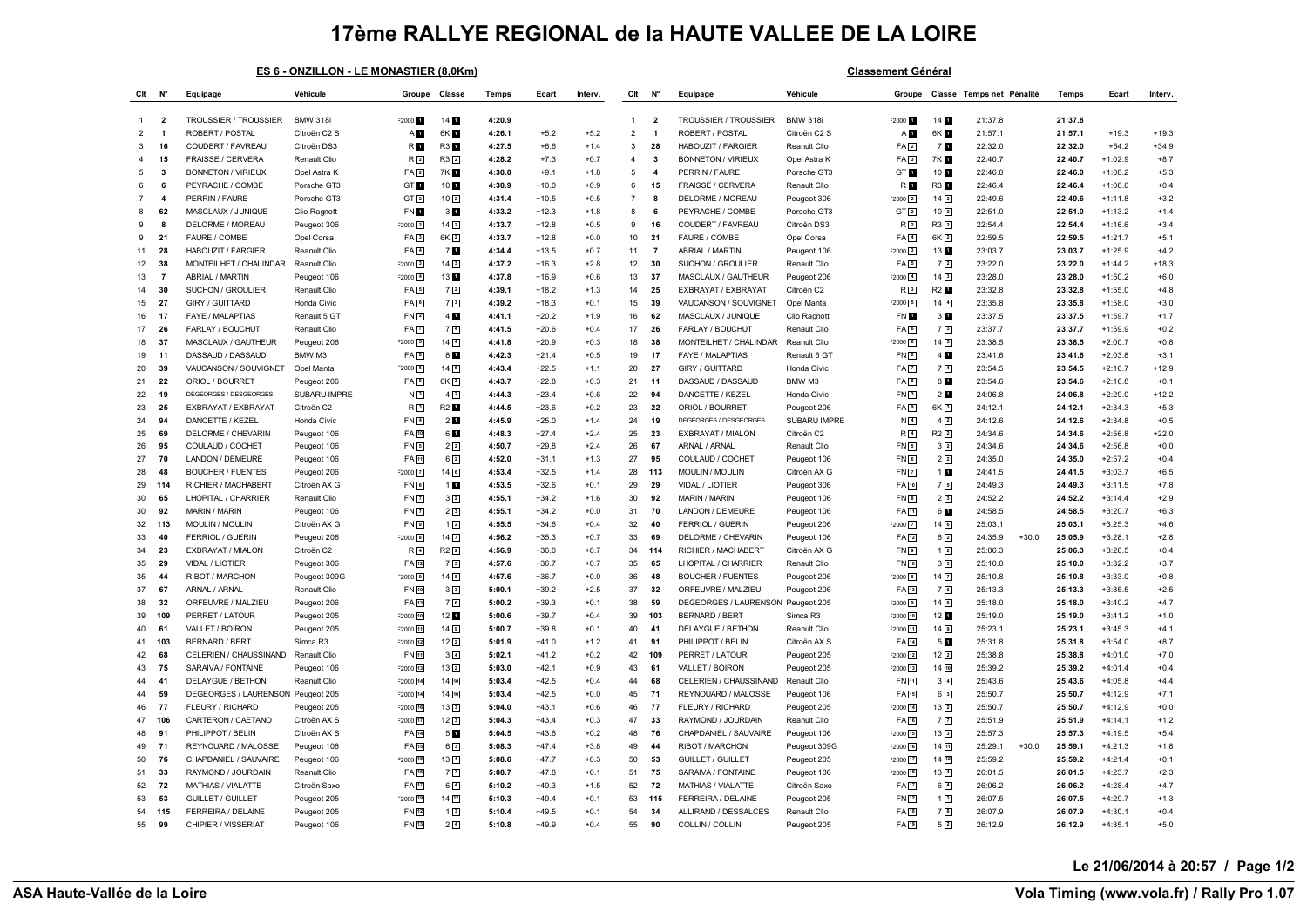## **17ème RALLYE REGIONAL de la HAUTE VALLEE DE LA LOIRE**

|  | ES 6 - ONZILLON - LE MONASTIER (8.0Km) |  |
|--|----------------------------------------|--|
|  |                                        |  |

**Classement Général** 

| Clt            | $N^{\circ}$             | Equipage                          | Véhicule        | Groupe            | Classe             | Temps  | Ecart   | Interv. | Clt            | N۴                      | Equipage                          | Véhicule        | Groupe              |                    | Classe Temps net Pénalité |         | Temps   | Ecart     | Interv. |
|----------------|-------------------------|-----------------------------------|-----------------|-------------------|--------------------|--------|---------|---------|----------------|-------------------------|-----------------------------------|-----------------|---------------------|--------------------|---------------------------|---------|---------|-----------|---------|
|                |                         |                                   |                 |                   |                    |        |         |         |                |                         |                                   |                 |                     |                    |                           |         |         |           |         |
| -1             | $\overline{\mathbf{2}}$ | <b>TROUSSIER / TROUSSIER</b>      | <b>BMW 318i</b> | $2000 - 1$        | 14 1               | 4:20.9 |         |         | $\overline{1}$ | $\overline{\mathbf{2}}$ | <b>TROUSSIER / TROUSSIER</b>      | <b>BMW 318i</b> | $2000 - 1$          | 14                 | 21:37.8                   |         | 21:37.8 |           |         |
| $\overline{2}$ | $\overline{\mathbf{1}}$ | ROBERT / POSTAL                   | Citroën C2 S    | AП                | 6K 1               | 4:26.1 | $+5.2$  | $+5.2$  | $\overline{2}$ | $\overline{1}$          | ROBERT / POSTAL                   | Citroën C2 S    | A <b>D</b>          | 6K 1               | 21:57.1                   |         | 21:57.1 | $+19.3$   | $+19.3$ |
| 3              | 16                      | COUDERT / FAVREAU                 | Citroën DS3     | R <b>D</b>        | <b>R3</b>          | 4:27.5 | $+6.6$  | $+1.4$  | $\mathbf{3}$   | 28                      | HABOUZIT / FARGIER                | Reanult Clio    | FA2                 | 7 E                | 22:32.0                   |         | 22:32.0 | $+54.2$   | $+34.9$ |
|                | 15                      | FRAISSE / CERVERA                 | Renault Clio    | R <sub>2</sub>    | $R3$ <sup>2</sup>  | 4:28.2 | $+7.3$  | $+0.7$  | $\overline{4}$ | $\mathbf{3}$            | <b>BONNETON / VIRIEUX</b>         | Opel Astra K    | FA3                 | 7K 6               | 22:40.7                   |         | 22:40.7 | $+1:02.9$ | $+8.7$  |
| 5              | $\overline{\mathbf{3}}$ | <b>BONNETON / VIRIEUX</b>         | Opel Astra K    | FA2               | 7K H               | 4:30.0 | $+9.1$  | $+1.8$  | 5              | $\overline{\bf{4}}$     | PERRIN / FAURE                    | Porsche GT3     | GT <b>H</b>         | 10                 | 22:46.0                   |         | 22:46.0 | $+1:08.2$ | $+5.3$  |
| 6              | 6                       | PEYRACHE / COMBE                  | Porsche GT3     | GT <sub>1</sub>   | 10 1               | 4:30.9 | $+10.0$ | $+0.9$  | 6              | 15                      | FRAISSE / CERVERA                 | Renault Clio    | R <b>H</b>          | R3 1               | 22:46.4                   |         | 22:46.4 | $+1:08.6$ | $+0.4$  |
|                | $\overline{\mathbf{4}}$ | PERRIN / FAURE                    | Porsche GT3     | GT <sub>2</sub>   | 102                | 4:31.4 | $+10.5$ | +0.5    | $\overline{7}$ | 8                       | DELORME / MOREAU                  | Peugeot 306     | $-2000$ $2$         | 14 <sup>2</sup>    | 22:49.6                   |         | 22:49.6 | $+1:11.8$ | $+3.2$  |
| 8              | 62                      | MASCLAUX / JUNIQUE                | Clio Ragnott    | FN D              | 3 <sub>h</sub>     | 4:33.2 | $+12.3$ | $+1.8$  | 8              | 6                       | PEYRACHE / COMBE                  | Porsche GT3     | GT[2]               | 10 <sup>2</sup>    | 22:51.0                   |         | 22:51.0 | $+1:13.2$ | $+1.4$  |
| 9              | 8                       | DELORME / MOREAU                  | Peugeot 306     | $-2000$ $2$       | 14 <sup>2</sup>    | 4:33.7 | $+12.8$ | $+0.5$  | 9              | 16                      | COUDERT / FAVREAU                 | Citroën DS3     | R <sub>2</sub>      | R3 2               | 22:54.4                   |         | 22:54.4 | $+1:16.6$ | $+3.4$  |
| 9              | 21                      | FAURE / COMBE                     | Opel Corsa      | FA3               | $6K$ <sup>2</sup>  | 4:33.7 | $+12.8$ | $+0.0$  | 10             | 21                      | FAURE / COMBE                     | Opel Corsa      | $FA$ <sup>4</sup>   | 6K <sub>2</sub>    | 22:59.5                   |         | 22:59.5 | $+1:21.7$ | $+5.1$  |
| 11             | 28                      | <b>HABOUZIT / FARGIER</b>         | Reanult Clio    | FA <sub>4</sub>   | 7 <b>D</b>         | 4:34.4 | $+13.5$ | $+0.7$  | 11             | $\overline{7}$          | ABRIAL / MARTIN                   | Peugeot 106     | $-2000$ $\boxed{3}$ | 13 1               | 23:03.7                   |         | 23:03.7 | $+1:25.9$ | $+4.2$  |
| 12             | 38                      | MONTEILHET / CHALINDAR            | Reanult Clio    | $F2000$ 3         | $14\sqrt{3}$       | 4:37.2 | $+16.3$ | $+2.8$  | 12             | 30                      | SUCHON / GROULIER                 | Renault Clio    | FA5                 | 7 <sup>2</sup>     | 23:22.0                   |         | 23:22.0 | $+1:44.2$ | $+18.3$ |
| 13             | $\overline{7}$          | ABRIAL / MARTIN                   | Peugeot 106     | $F2000$ $4$       | 13 1               | 4:37.8 | $+16.9$ | $+0.6$  | 13             | 37                      | MASCLAUX / GAUTHEUR               | Peugeot 206     | $-2000$ $\boxed{4}$ | 14 <sup>3</sup>    | 23:28.0                   |         | 23:28.0 | $+1:50.2$ | $+6.0$  |
| 14             | 30                      | SUCHON / GROULIER                 | Renault Clio    | FA <sub>5</sub>   | 72                 | 4:39.1 | $+18.2$ | $+1.3$  | 14             | 25                      | EXBRAYAT / EXBRAYAT               | Citroën C2      | R <sub>3</sub>      | R2 <sup>1</sup>    | 23:32.8                   |         | 23:32.8 | $+1:55.0$ | $+4.8$  |
| 15             | 27                      | GIRY / GUITTARD                   | Honda Civic     | FA <sup>6</sup>   | 7 <sup>3</sup>     | 4:39.2 | $+18.3$ | $+0.1$  | 15             | 39                      | VAUCANSON / SOUVIGNET             | Opel Manta      | $\frac{2000}{5}$    | $14\sqrt{4}$       | 23:35.8                   |         | 23:35.8 | $+1:58.0$ | $+3.0$  |
| 16             | 17                      | FAYE / MALAPTIAS                  | Renault 5 GT    | FN <sub>2</sub>   | 4                  | 4:41.1 | $+20.2$ | $+1.9$  | 16             | 62                      | MASCLAUX / JUNIQUE                | Clio Ragnott    | FN <b>D</b>         | 3 <sub>1</sub>     | 23:37.5                   |         | 23:37.5 | $+1:59.7$ | $+1.7$  |
| 17             | 26                      | FARLAY / BOUCHUT                  | Renault Clio    | FA <sub>1</sub>   | 7 <sup>4</sup>     | 4:41.5 | $+20.6$ | $+0.4$  | 17             | 26                      | FARLAY / BOUCHUT                  | Renault Clio    | FAG                 | 7 <sup>3</sup>     | 23:37.7                   |         | 23:37.7 | $+1:59.9$ | $+0.2$  |
| 18             | 37                      | MASCLAUX / GAUTHEUR               | Peugeot 206     | $F2000$ 5         | $14\sqrt{4}$       | 4:41.8 | $+20.9$ | $+0.3$  | 18             | 38                      | MONTEILHET / CHALINDAR            | Reanult Clio    | $-2000$ $6$         | 145                | 23:38.5                   |         | 23:38.5 | $+2:00.7$ | $+0.8$  |
| 19             | 11                      | DASSAUD / DASSAUD                 | BMW M3          | FA <sub>B</sub>   | 8 1                | 4:42.3 | $+21.4$ | $+0.5$  | 19             | 17                      | FAYE / MALAPTIAS                  | Renault 5 GT    | FN2                 | 4 <sub>1</sub>     | 23:41.6                   |         | 23:41.6 | $+2:03.8$ | $+3.1$  |
| 20             | 39                      | VAUCANSON / SOUVIGNET             | Opel Manta      | $F2000$ $F$       | 14 5               | 4:43.4 | $+22.5$ | $+1.1$  | 20             | 27                      | GIRY / GUITTARD                   | Honda Civic     | FA <sub>[7]</sub>   | 7 <sup>4</sup>     | 23:54.5                   |         | 23:54.5 | $+2:16.7$ | $+12.9$ |
| 21             | 22                      | ORIOL / BOURRET                   | Peugeot 206     | FA <sub>9</sub>   | $6K$ <sup>3</sup>  | 4:43.7 | $+22.8$ | $+0.3$  | 21             | 11                      | DASSAUD / DASSAUD                 | BMW M3          | FA <sub>B</sub>     | 8 <b>M</b>         | 23:54.6                   |         | 23:54.6 | $+2:16.8$ | $+0.1$  |
| 22             | 19                      | DEGEORGES / DESGEORGES            | SUBARU IMPRE    | N <sub>3</sub>    | $4\sqrt{2}$        | 4:44.3 | $+23.4$ | $+0.6$  | 22             | 94                      | DANCETTE / KEZEL                  | Honda Civic     | FN3                 | 2 <sub>II</sub>    | 24:06.8                   |         | 24:06.8 | $+2:29.0$ | $+12.2$ |
| 23             | 25                      | EXBRAYAT / EXBRAYAT               | Citroën C2      | R <sub>3</sub>    | <b>R2</b>          | 4:44.5 | $+23.6$ | $+0.2$  | 23             | 22                      | ORIOL / BOURRET                   | Peugeot 206     | FA <sub>[9]</sub>   | 6K <sub>3</sub>    | 24:12.1                   |         | 24:12.1 | $+2:34.3$ | $+5.3$  |
| 24             | 94                      | DANCETTE / KEZEL                  | Honda Civic     | $FN$ <sup>4</sup> | 2 <sub>u</sub>     | 4:45.9 | $+25.0$ | $+1.4$  | 24             | 19                      | DEGEORGES / DESGEORGES            | SUBARU IMPRE    | N <sub>4</sub>      | $4\sqrt{2}$        | 24:12.6                   |         | 24:12.6 | $+2:34.8$ | $+0.5$  |
| 25             | 69                      | <b>DELORME / CHEVARIN</b>         | Peugeot 106     | FA [10]           | 6 <b>H</b>         | 4:48.3 | $+27.4$ | $+2.4$  | 25             | 23                      | EXBRAYAT / MIALON                 | Citroën C2      | R <sub>1</sub>      | $R2$ <sup>2</sup>  | 24:34.6                   |         | 24:34.6 | $+2:56.8$ | $+22.0$ |
| 26             | 95                      | COULAUD / COCHET                  | Peugeot 106     | FN <sub>5</sub>   | 22                 | 4:50.7 | $+29.8$ | $+2.4$  | 26             | 67                      | ARNAL / ARNAL                     | Renault Clio    | FN5                 | 3 <sup>2</sup>     | 24:34.6                   |         | 24:34.6 | $+2:56.8$ | $+0.0$  |
| 27             | 70                      | LANDON / DEMEURE                  | Peugeot 106     | FA <sub>[11</sub> | $6\sqrt{2}$        | 4:52.0 | $+31.1$ | $+1.3$  | 27             | 95                      | COULAUD / COCHET                  | Peugeot 106     | $FN$ <sup>6</sup>   | $2\sqrt{2}$        | 24:35.0                   |         | 24:35.0 | $+2:57.2$ | $+0.4$  |
| 28             | 48                      | <b>BOUCHER / FUENTES</b>          | Peugeot 206     | $-2000$ $7$       | $14$ $6$           | 4:53.4 | $+32.5$ | $+1.4$  | 28             | 113                     | <b>MOULIN / MOULIN</b>            | Citroën AX G    | FN <sub>[7]</sub>   | 1 <b>0</b>         | 24:41.5                   |         | 24:41.5 | $+3:03.7$ | $+6.5$  |
| 29             | 114                     | RICHIER / MACHABERT               | Citroën AX G    | FN <sub>B</sub>   | $1$ $\blacksquare$ | 4:53.5 | $+32.6$ | $+0.1$  | 29             | 29                      | VIDAL / LIOTIER                   | Peugeot 306     | FA [10]             | 75                 | 24:49.3                   |         | 24:49.3 | $+3:11.5$ | $+7.8$  |
| 30             | 65                      | LHOPITAL / CHARRIER               | Renault Clio    | FN <sub>7</sub>   | $3\sqrt{2}$        | 4:55.1 | $+34.2$ | $+1.6$  | 30             | 92                      | <b>MARIN / MARIN</b>              | Peugeot 106     | FN <sub>B</sub>     | 23                 | 24:52.2                   |         | 24:52.2 | $+3:14.4$ | $+2.9$  |
| 30             | 92                      | <b>MARIN / MARIN</b>              | Peugeot 106     | $FN$ $7$          | 2 <sup>3</sup>     | 4:55.1 | $+34.2$ | $+0.0$  | 31             | 70                      | LANDON / DEMEURE                  | Peugeot 106     | FA <sub>[1]</sub>   | 6 <b>M</b>         | 24:58.5                   |         | 24:58.5 | $+3:20.7$ | $+6.3$  |
| 32             | 113                     | <b>MOULIN / MOULIN</b>            | Citroën AX G    | FN <sub>9</sub>   | $1\sqrt{2}$        | 4:55.5 | $+34.6$ | $+0.4$  | 32             | 40                      | <b>FERRIOL / GUERIN</b>           | Peugeot 206     | $-2000$ $\boxed{7}$ | $14\sqrt{6}$       | 25:03.1                   |         | 25:03.1 | $+3:25.3$ | $+4.6$  |
| 33             | 40                      | FERRIOL / GUERIN                  | Peugeot 206     | $F2000$ 8         | $14$ $\boxed{7}$   | 4:56.2 | $+35.3$ | $+0.7$  | 33             | 69                      | DELORME / CHEVARIN                | Peugeot 106     | FA 12               | 62                 | 24:35.9                   | $+30.0$ | 25:05.9 | $+3:28.1$ | $+2.8$  |
| 34             | 23                      | EXBRAYAT / MIALON                 | Citroën C2      | R <sub>4</sub>    | $R2$ <sup>2</sup>  | 4:56.9 | $+36.0$ | $+0.7$  | 34             | 114                     | RICHIER / MACHABERT               | Citroën AX G    | FN                  | $1\sqrt{2}$        | 25:06.3                   |         | 25:06.3 | $+3:28.5$ | $+0.4$  |
| 35             | 29                      | <b>VIDAL / LIOTIER</b>            | Peugeot 306     | FA 12             | 75                 | 4:57.6 | $+36.7$ | $+0.7$  | 35             | 65                      | LHOPITAL / CHARRIER               | Renault Clio    | FN [10]             | 3 <sup>3</sup>     | 25:10.0                   |         | 25:10.0 | $+3:32.2$ | $+3.7$  |
| 35             | 44                      | RIBOT / MARCHON                   | Peugeot 309G    | F2000 9           | $14\sqrt{8}$       | 4:57.6 | $+36.7$ | $+0.0$  | 36             | 48                      | <b>BOUCHER / FUENTES</b>          | Peugeot 206     | $-2000$ $8$         | 14 <sup>7</sup>    | 25:10.8                   |         | 25:10.8 | $+3:33.0$ | $+0.8$  |
| 37             | 67                      | ARNAL / ARNAL                     | Renault Clio    | FN 10             | 3 <sup>3</sup>     | 5:00.1 | $+39.2$ | $+2.5$  | 37             | 32                      | ORFEUVRE / MALZIEU                | Peugeot 206     | FA [13]             | 76                 | 25:13.3                   |         | 25:13.3 | $+3:35.5$ | $+2.5$  |
| 38             | 32                      | ORFEUVRE / MALZIEU                | Peugeot 206     | FA 13             | 76                 | 5:00.2 | $+39.3$ | $+0.1$  | 38             | 59                      | DEGEORGES / LAURENSON Peugeot 205 |                 | $-2000$ 9           | 14 <sup>8</sup>    | 25:18.0                   |         | 25:18.0 | $+3:40.2$ | $+4.7$  |
| 39             | 109                     | PERRET / LATOUR                   | Peugeot 205     | F2000 10          | 12 1               | 5:00.6 | $+39.7$ | $+0.4$  | 39             | 103                     | <b>BERNARD / BERT</b>             | Simca R3        | $-2000$ $10$        | 12 <sub>1</sub>    | 25:19.0                   |         | 25:19.0 | $+3:41.2$ | $+1.0$  |
| 40             | 61                      | VALLET / BOIRON                   | Peugeot 205     | F2000 11          | $14$ $9$           | 5:00.7 | $+39.8$ | $+0.1$  | 40             | 41                      | <b>DELAYGUE / BETHON</b>          | Reanult Clio    | $-2000$ $11$        | 149                | 25:23.1                   |         | 25:23.1 | $+3:45.3$ | $+4.1$  |
| 41             | 103                     | <b>BERNARD / BERT</b>             | Simca R3        | $F2000$ 12        | 122                | 5:01.9 | $+41.0$ | $+1.2$  | 41             | 91                      | PHILIPPOT / BELIN                 | Citroën AX S    | FA [14]             | 5 <b>M</b>         | 25:31.8                   |         | 25:31.8 | $+3:54.0$ | $+8.7$  |
| 42             | 68                      | CELERIEN / CHAUSSINAND            | Renault Clio    | FN 11             | $3\sqrt{4}$        | 5:02.1 | $+41.2$ | $+0.2$  | 42             | 109                     | PERRET / LATOUR                   | Peugeot 205     | $-2000$ $12$        | 12 <sup>2</sup>    | 25:38.8                   |         | 25:38.8 | $+4:01.0$ | $+7.0$  |
| 43             | 75                      | SARAIVA / FONTAINE                | Peugeot 106     | F2000 13          | $13\sqrt{2}$       | 5:03.0 | $+42.1$ | $+0.9$  | 43             | 61                      | VALLET / BOIRON                   | Peugeot 205     | $-2000$ $13$        | $14$ $10$          | 25:39.2                   |         | 25:39.2 | $+4:01.4$ | $+0.4$  |
| 44             | 41                      | <b>DELAYGUE / BETHON</b>          | Reanult Clio    | F2000 14          | 14 10              | 5:03.4 | $+42.5$ | $+0.4$  | 44             | 68                      | CELERIEN / CHAUSSINAND            | Renault Clio    | $FN$ <sup>11</sup>  | $3\sqrt{4}$        | 25:43.6                   |         | 25:43.6 | $+4:05.8$ | $+4.4$  |
| 44             | 59                      | DEGEORGES / LAURENSON Peugeot 205 |                 | $F2000$ 14        | 14回                | 5:03.4 | $+42.5$ | $+0.0$  | 45             | 71                      | REYNOUARD / MALOSSE               | Peugeot 106     | FA <sup>15</sup>    | 63                 | 25:50.7                   |         | 25:50.7 | $+4:12.9$ | $+7.1$  |
| 46             | 77                      | FLEURY / RICHARD                  | Peugeot 205     | F2000 16          | $13\boxed{3}$      | 5:04.0 | $+43.1$ | $+0.6$  | 46             | 77                      | FLEURY / RICHARD                  | Peugeot 205     | $-2000$ $14$        | $13\sqrt{2}$       | 25:50.7                   |         | 25:50.7 | $+4:12.9$ | $+0.0$  |
| 47             | 106                     | CARTERON / CAETANO                | Citroën AX S    | F2000 17          | 123                | 5:04.3 | $+43.4$ | $+0.3$  | 47             | 33                      | RAYMOND / JOURDAIN                | Reanult Clio    | FA 16               | 7 <sub>7</sub>     | 25:51.9                   |         | 25:51.9 | $+4:14.1$ | $+1.2$  |
| 48             | 91                      | PHILIPPOT / BELIN                 | Citroën AX S    | FA 14             | 5 <b>M</b>         | 5:04.5 | $+43.6$ | $+0.2$  | 48             | 76                      | CHAPDANIEL / SAUVAIRE             | Peugeot 106     | $-2000$ $15$        | 13 <sup>3</sup>    | 25:57.3                   |         | 25:57.3 | $+4:19.5$ | $+5.4$  |
| 49             | - 71                    | REYNOUARD / MALOSSE               | Peugeot 106     | FA 15             | $6\sqrt{3}$        | 5:08.3 | $+47.4$ | $+3.8$  | 49             | 44                      | RIBOT / MARCHON                   | Peugeot 309G    | $2000$ $ 16 $       | 14 11              | 25:29.1                   | $+30.0$ | 25:59.1 | $+4:21.3$ | $+1.8$  |
| 50             | 76                      | CHAPDANIEL / SAUVAIRE             |                 | F2000 18          | $13\sqrt{4}$       | 5:08.6 | $+47.7$ | $+0.3$  | 50             | 53                      | <b>GUILLET / GUILLET</b>          |                 | $-2000$ $17$        | $14 \overline{12}$ | 25:59.2                   |         | 25:59.2 | $+4:21.4$ | $+0.1$  |
|                | 33                      | RAYMOND / JOURDAIN                | Peugeot 106     |                   |                    | 5:08.7 | $+47.8$ | $+0.1$  | 51             | 75                      | SARAIVA / FONTAINE                | Peugeot 205     |                     |                    | 26:01.5                   |         | 26:01.5 | $+4:23.7$ | $+2.3$  |
| 51             | 72                      |                                   | Reanult Clio    | FA 16             | 7 <sup>2</sup>     | 5:10.2 | $+49.3$ | $+1.5$  | 52             | 72                      | <b>MATHIAS / VIALATTE</b>         | Peugeot 106     | $-2000$ $18$        | $13\sqrt{4}$       | 26:06.2                   |         | 26:06.2 | $+4:28.4$ | $+4.7$  |
| 52             |                         | MATHIAS / VIALATTE                | Citroën Saxo    | FA 17             | $6\sqrt{4}$        |        |         |         |                |                         |                                   | Citroën Saxo    | FA [17]             | $6\sqrt{4}$        |                           |         |         |           |         |
| 53             | 53                      | <b>GUILLET / GUILLET</b>          | Peugeot 205     | $F2000$ $19$      | 14[12]             | 5:10.3 | $+49.4$ | $+0.1$  | 53             | 115                     | FERREIRA / DELAINE                | Peugeot 205     | FN [12]             | 13                 | 26:07.5                   |         | 26:07.5 | $+4:29.7$ | $+1.3$  |
| 54             | 115                     | FERREIRA / DELAINE                | Peugeot 205     | FN 12             | 13                 | 5:10.4 | $+49.5$ | $+0.1$  | 54             | 34                      | ALLIRAND / DESSALCES              | Renault Clio    | FA [18]             | 72                 | 26:07.9                   |         | 26:07.9 | $+4:30.1$ | $+0.4$  |
| 55             | 99                      | CHIPIER / VISSERIAT               | Peugeot 106     | FN 13             | $2\sqrt{4}$        | 5:10.8 | $+49.9$ | $+0.4$  | 55             | 90                      | COLLIN / COLLIN                   | Peugeot 205     | FA [19]             | 5 <sup>2</sup>     | 26:12.9                   |         | 26:12.9 | $+4:35.1$ | $+5.0$  |

**Le 21/06/2014 à 20:57 / Page 1/2**